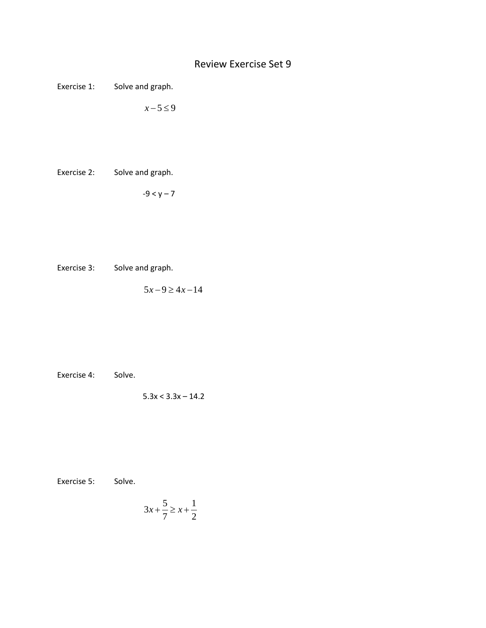## Review Exercise Set 9

Exercise 1: Solve and graph.

 $x - 5 \le 9$ 

Exercise 2: Solve and graph.

 $-9 < y - 7$ 

Exercise 3: Solve and graph.

 $5x - 9 \ge 4x - 14$ 

Exercise 4: Solve.

 $5.3x < 3.3x - 14.2$ 

Exercise 5: Solve.

$$
3x + \frac{5}{7} \ge x + \frac{1}{2}
$$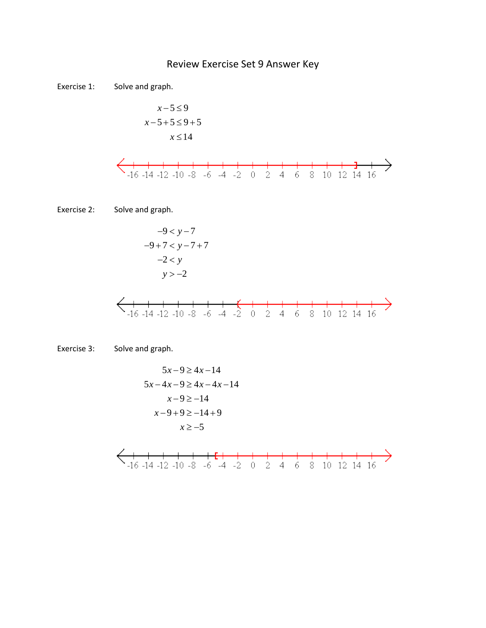## Review Exercise Set 9 Answer Key

Exercise 1: Solve and graph.

$$
x-5 \le 9
$$
  

$$
x-5+5 \le 9+5
$$
  

$$
x \le 14
$$



$$
-9 < y-7
$$
\n
$$
-9 + 7 < y - 7 + 7
$$
\n
$$
-2 < y
$$
\n
$$
y > -2
$$

Exercise 3: Solve and graph.

5 9 4 14 *x x* −≥ − − −≥ − − 5 4 9 4 4 14 *xx xx x* − ≥− 9 14 *x* − + ≥− + 9 9 14 9 ≥ −*x* 5